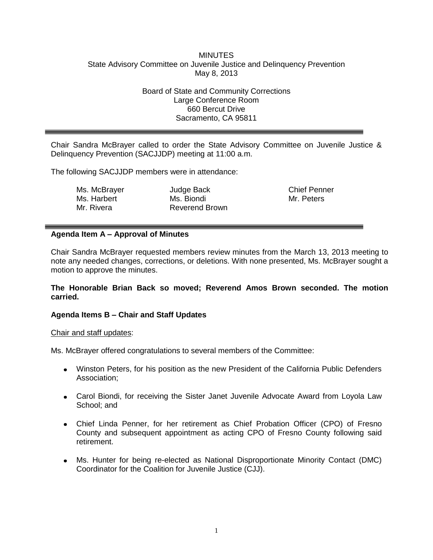## **MINUTES** State Advisory Committee on Juvenile Justice and Delinquency Prevention May 8, 2013

Board of State and Community Corrections Large Conference Room 660 Bercut Drive Sacramento, CA 95811

Chair Sandra McBrayer called to order the State Advisory Committee on Juvenile Justice & Delinquency Prevention (SACJJDP) meeting at 11:00 a.m.

The following SACJJDP members were in attendance:

Ms. McBrayer Ms. Harbert Mr. Rivera

Judge Back Ms. Biondi Reverend Brown Chief Penner Mr. Peters

## **Agenda Item A – Approval of Minutes**

Chair Sandra McBrayer requested members review minutes from the March 13, 2013 meeting to note any needed changes, corrections, or deletions. With none presented, Ms. McBrayer sought a motion to approve the minutes.

### **The Honorable Brian Back so moved; Reverend Amos Brown seconded. The motion carried.**

## **Agenda Items B – Chair and Staff Updates**

### Chair and staff updates:

Ms. McBrayer offered congratulations to several members of the Committee:

- Winston Peters, for his position as the new President of the California Public Defenders Association;
- Carol Biondi, for receiving the Sister Janet Juvenile Advocate Award from Loyola Law School; and
- Chief Linda Penner, for her retirement as Chief Probation Officer (CPO) of Fresno County and subsequent appointment as acting CPO of Fresno County following said retirement.
- Ms. Hunter for being re-elected as National Disproportionate Minority Contact (DMC) Coordinator for the Coalition for Juvenile Justice (CJJ).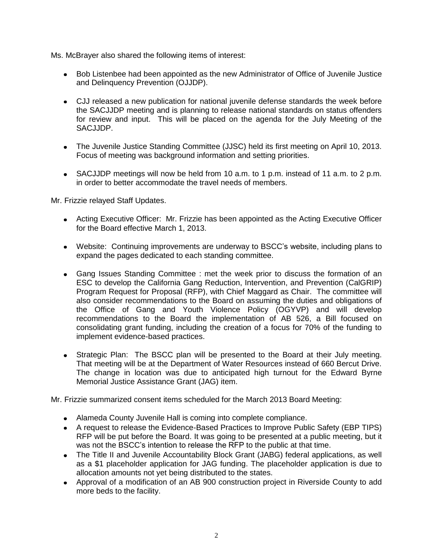Ms. McBrayer also shared the following items of interest:

- Bob Listenbee had been appointed as the new Administrator of Office of Juvenile Justice and Delinquency Prevention (OJJDP).
- CJJ released a new publication for national juvenile defense standards the week before the SACJJDP meeting and is planning to release national standards on status offenders for review and input. This will be placed on the agenda for the July Meeting of the SACJJDP.
- The Juvenile Justice Standing Committee (JJSC) held its first meeting on April 10, 2013. Focus of meeting was background information and setting priorities.
- SACJJDP meetings will now be held from 10 a.m. to 1 p.m. instead of 11 a.m. to 2 p.m. in order to better accommodate the travel needs of members.

Mr. Frizzie relayed Staff Updates.

- Acting Executive Officer: Mr. Frizzie has been appointed as the Acting Executive Officer for the Board effective March 1, 2013.
- Website: Continuing improvements are underway to BSCC's website, including plans to expand the pages dedicated to each standing committee.
- Gang Issues Standing Committee : met the week prior to discuss the formation of an ESC to develop the California Gang Reduction, Intervention, and Prevention (CalGRIP) Program Request for Proposal (RFP), with Chief Maggard as Chair. The committee will also consider recommendations to the Board on assuming the duties and obligations of the Office of Gang and Youth Violence Policy (OGYVP) and will develop recommendations to the Board the implementation of AB 526, a Bill focused on consolidating grant funding, including the creation of a focus for 70% of the funding to implement evidence-based practices.
- Strategic Plan: The BSCC plan will be presented to the Board at their July meeting. That meeting will be at the Department of Water Resources instead of 660 Bercut Drive. The change in location was due to anticipated high turnout for the Edward Byrne Memorial Justice Assistance Grant (JAG) item.

Mr. Frizzie summarized consent items scheduled for the March 2013 Board Meeting:

- Alameda County Juvenile Hall is coming into complete compliance.
- A request to release the Evidence-Based Practices to Improve Public Safety (EBP TIPS) RFP will be put before the Board. It was going to be presented at a public meeting, but it was not the BSCC's intention to release the RFP to the public at that time.
- The Title II and Juvenile Accountability Block Grant (JABG) federal applications, as well as a \$1 placeholder application for JAG funding. The placeholder application is due to allocation amounts not yet being distributed to the states.
- Approval of a modification of an AB 900 construction project in Riverside County to add more beds to the facility.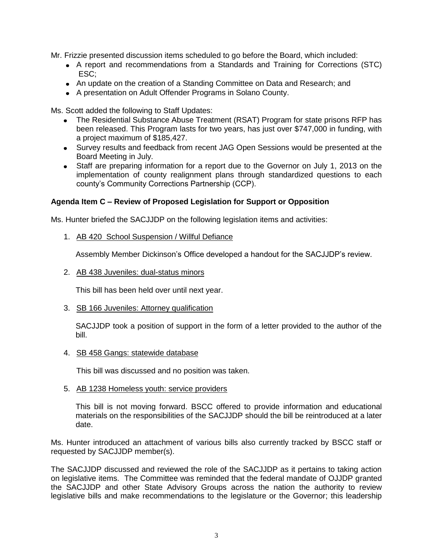Mr. Frizzie presented discussion items scheduled to go before the Board, which included:

- A report and recommendations from a Standards and Training for Corrections (STC) ESC;
- An update on the creation of a Standing Committee on Data and Research; and
- A presentation on Adult Offender Programs in Solano County.

Ms. Scott added the following to Staff Updates:

- The Residential Substance Abuse Treatment (RSAT) Program for state prisons RFP has been released. This Program lasts for two years, has just over \$747,000 in funding, with a project maximum of \$185,427.
- Survey results and feedback from recent JAG Open Sessions would be presented at the Board Meeting in July.
- Staff are preparing information for a report due to the Governor on July 1, 2013 on the implementation of county realignment plans through standardized questions to each county's Community Corrections Partnership (CCP).

## **Agenda Item C – Review of Proposed Legislation for Support or Opposition**

Ms. Hunter briefed the SACJJDP on the following legislation items and activities:

1. AB 420 School Suspension / Willful Defiance

Assembly Member Dickinson's Office developed a handout for the SACJJDP's review.

2. AB 438 Juveniles: dual-status minors

This bill has been held over until next year.

3. SB 166 Juveniles: Attorney qualification

SACJJDP took a position of support in the form of a letter provided to the author of the bill.

4. SB 458 Gangs: statewide database

This bill was discussed and no position was taken.

5. AB 1238 Homeless youth: service providers

This bill is not moving forward. BSCC offered to provide information and educational materials on the responsibilities of the SACJJDP should the bill be reintroduced at a later date.

Ms. Hunter introduced an attachment of various bills also currently tracked by BSCC staff or requested by SACJJDP member(s).

The SACJJDP discussed and reviewed the role of the SACJJDP as it pertains to taking action on legislative items. The Committee was reminded that the federal mandate of OJJDP granted the SACJJDP and other State Advisory Groups across the nation the authority to review legislative bills and make recommendations to the legislature or the Governor; this leadership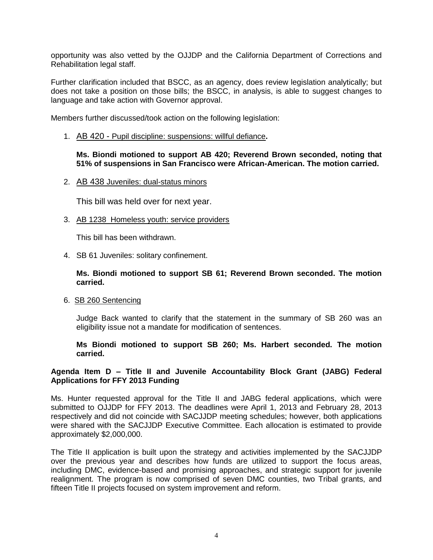opportunity was also vetted by the OJJDP and the California Department of Corrections and Rehabilitation legal staff.

Further clarification included that BSCC, as an agency, does review legislation analytically; but does not take a position on those bills; the BSCC, in analysis, is able to suggest changes to language and take action with Governor approval.

Members further discussed/took action on the following legislation:

1. AB 420 - Pupil discipline: suspensions: willful defiance**.**

### **Ms. Biondi motioned to support AB 420; Reverend Brown seconded, noting that 51% of suspensions in San Francisco were African-American. The motion carried.**

2. AB 438 Juveniles: dual-status minors

This bill was held over for next year.

3. AB 1238 Homeless youth: service providers

This bill has been withdrawn.

4. SB 61 Juveniles: solitary confinement.

**Ms. Biondi motioned to support SB 61; Reverend Brown seconded. The motion carried.**

6. SB 260 Sentencing

Judge Back wanted to clarify that the statement in the summary of SB 260 was an eligibility issue not a mandate for modification of sentences.

**Ms Biondi motioned to support SB 260; Ms. Harbert seconded. The motion carried.**

## **Agenda Item D – Title II and Juvenile Accountability Block Grant (JABG) Federal Applications for FFY 2013 Funding**

Ms. Hunter requested approval for the Title II and JABG federal applications, which were submitted to OJJDP for FFY 2013. The deadlines were April 1, 2013 and February 28, 2013 respectively and did not coincide with SACJJDP meeting schedules; however, both applications were shared with the SACJJDP Executive Committee. Each allocation is estimated to provide approximately \$2,000,000.

The Title II application is built upon the strategy and activities implemented by the SACJJDP over the previous year and describes how funds are utilized to support the focus areas, including DMC, evidence-based and promising approaches, and strategic support for juvenile realignment. The program is now comprised of seven DMC counties, two Tribal grants, and fifteen Title II projects focused on system improvement and reform.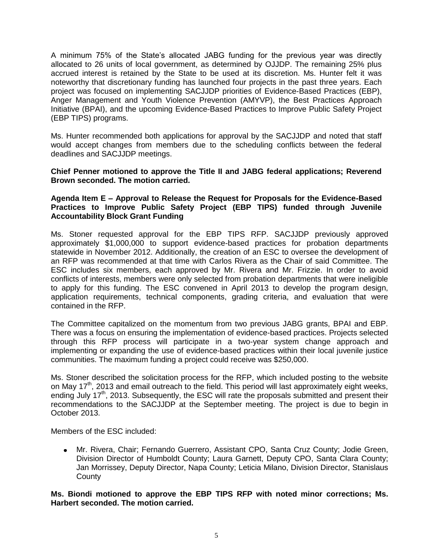A minimum 75% of the State's allocated JABG funding for the previous year was directly allocated to 26 units of local government, as determined by OJJDP. The remaining 25% plus accrued interest is retained by the State to be used at its discretion. Ms. Hunter felt it was noteworthy that discretionary funding has launched four projects in the past three years. Each project was focused on implementing SACJJDP priorities of Evidence-Based Practices (EBP), Anger Management and Youth Violence Prevention (AMYVP), the Best Practices Approach Initiative (BPAI), and the upcoming Evidence-Based Practices to Improve Public Safety Project (EBP TIPS) programs.

Ms. Hunter recommended both applications for approval by the SACJJDP and noted that staff would accept changes from members due to the scheduling conflicts between the federal deadlines and SACJJDP meetings.

## **Chief Penner motioned to approve the Title II and JABG federal applications; Reverend Brown seconded. The motion carried.**

## **Agenda Item E – Approval to Release the Request for Proposals for the Evidence-Based Practices to Improve Public Safety Project (EBP TIPS) funded through Juvenile Accountability Block Grant Funding**

Ms. Stoner requested approval for the EBP TIPS RFP. SACJJDP previously approved approximately \$1,000,000 to support evidence-based practices for probation departments statewide in November 2012. Additionally, the creation of an ESC to oversee the development of an RFP was recommended at that time with Carlos Rivera as the Chair of said Committee. The ESC includes six members, each approved by Mr. Rivera and Mr. Frizzie. In order to avoid conflicts of interests, members were only selected from probation departments that were ineligible to apply for this funding. The ESC convened in April 2013 to develop the program design, application requirements, technical components, grading criteria, and evaluation that were contained in the RFP.

The Committee capitalized on the momentum from two previous JABG grants, BPAI and EBP. There was a focus on ensuring the implementation of evidence-based practices. Projects selected through this RFP process will participate in a two-year system change approach and implementing or expanding the use of evidence-based practices within their local juvenile justice communities. The maximum funding a project could receive was \$250,000.

Ms. Stoner described the solicitation process for the RFP, which included posting to the website on May 17<sup>th</sup>, 2013 and email outreach to the field. This period will last approximately eight weeks, ending July 17<sup>th</sup>, 2013. Subsequently, the ESC will rate the proposals submitted and present their recommendations to the SACJJDP at the September meeting. The project is due to begin in October 2013.

Members of the ESC included:

Mr. Rivera, Chair; Fernando Guerrero, Assistant CPO, Santa Cruz County; Jodie Green, Division Director of Humboldt County; Laura Garnett, Deputy CPO, Santa Clara County; Jan Morrissey, Deputy Director, Napa County; Leticia Milano, Division Director, Stanislaus **County** 

## **Ms. Biondi motioned to approve the EBP TIPS RFP with noted minor corrections; Ms. Harbert seconded. The motion carried.**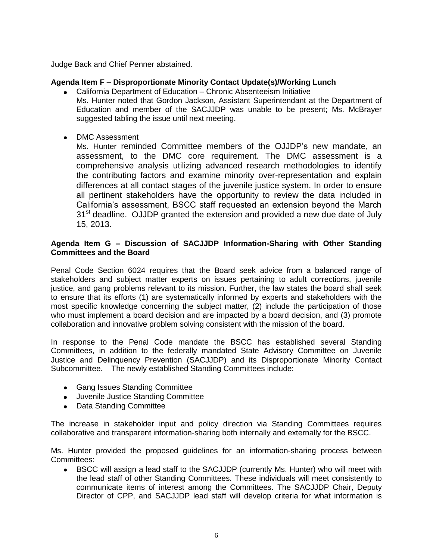Judge Back and Chief Penner abstained.

## **Agenda Item F – Disproportionate Minority Contact Update(s)/Working Lunch**

- California Department of Education Chronic Absenteeism Initiative Ms. Hunter noted that Gordon Jackson, Assistant Superintendant at the Department of Education and member of the SACJJDP was unable to be present; Ms. McBrayer suggested tabling the issue until next meeting.
- DMC Assessment

Ms. Hunter reminded Committee members of the OJJDP's new mandate, an assessment, to the DMC core requirement. The DMC assessment is a comprehensive analysis utilizing advanced research methodologies to identify the contributing factors and examine minority over-representation and explain differences at all contact stages of the juvenile justice system. In order to ensure all pertinent stakeholders have the opportunity to review the data included in California's assessment, BSCC staff requested an extension beyond the March  $31<sup>st</sup>$  deadline. OJJDP granted the extension and provided a new due date of July 15, 2013.

## **Agenda Item G – Discussion of SACJJDP Information-Sharing with Other Standing Committees and the Board**

Penal Code Section 6024 requires that the Board seek advice from a balanced range of stakeholders and subject matter experts on issues pertaining to adult corrections, juvenile justice, and gang problems relevant to its mission. Further, the law states the board shall seek to ensure that its efforts (1) are systematically informed by experts and stakeholders with the most specific knowledge concerning the subject matter, (2) include the participation of those who must implement a board decision and are impacted by a board decision, and (3) promote collaboration and innovative problem solving consistent with the mission of the board.

In response to the Penal Code mandate the BSCC has established several Standing Committees, in addition to the federally mandated State Advisory Committee on Juvenile Justice and Delinquency Prevention (SACJJDP) and its Disproportionate Minority Contact Subcommittee. The newly established Standing Committees include:

- Gang Issues Standing Committee
- Juvenile Justice Standing Committee
- Data Standing Committee

The increase in stakeholder input and policy direction via Standing Committees requires collaborative and transparent information-sharing both internally and externally for the BSCC.

Ms. Hunter provided the proposed guidelines for an information-sharing process between Committees:

BSCC will assign a lead staff to the SACJJDP (currently Ms. Hunter) who will meet with the lead staff of other Standing Committees. These individuals will meet consistently to communicate items of interest among the Committees. The SACJJDP Chair, Deputy Director of CPP, and SACJJDP lead staff will develop criteria for what information is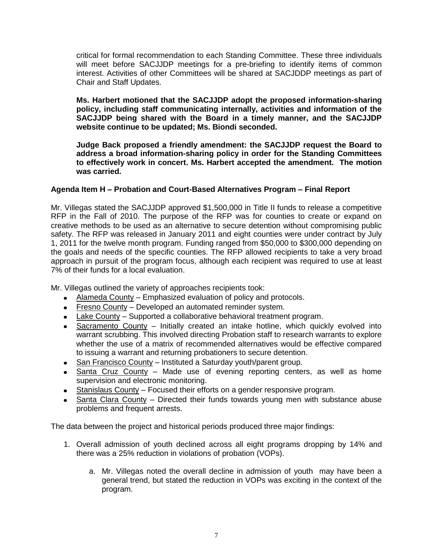critical for formal recommendation to each Standing Committee. These three individuals will meet before SACJJDP meetings for a pre-briefing to identify items of common interest. Activities of other Committees will be shared at SACJDDP meetings as part of Chair and Staff Updates.

**Ms. Harbert motioned that the SACJJDP adopt the proposed information-sharing policy, including staff communicating internally, activities and information of the SACJJDP being shared with the Board in a timely manner, and the SACJJDP website continue to be updated; Ms. Biondi seconded.** 

**Judge Back proposed a friendly amendment: the SACJJDP request the Board to address a broad information-sharing policy in order for the Standing Committees to effectively work in concert. Ms. Harbert accepted the amendment. The motion was carried.**

# **Agenda Item H – Probation and Court-Based Alternatives Program – Final Report**

Mr. Villegas stated the SACJJDP approved \$1,500,000 in Title II funds to release a competitive RFP in the Fall of 2010. The purpose of the RFP was for counties to create or expand on creative methods to be used as an alternative to secure detention without compromising public safety. The RFP was released in January 2011 and eight counties were under contract by July 1, 2011 for the twelve month program. Funding ranged from \$50,000 to \$300,000 depending on the goals and needs of the specific counties. The RFP allowed recipients to take a very broad approach in pursuit of the program focus, although each recipient was required to use at least 7% of their funds for a local evaluation.

Mr. Villegas outlined the variety of approaches recipients took:

- Alameda County Emphasized evaluation of policy and protocols.
- Fresno County Developed an automated reminder system.
- Lake County Supported a collaborative behavioral treatment program.
- Sacramento County Initially created an intake hotline, which quickly evolved into warrant scrubbing. This involved directing Probation staff to research warrants to explore whether the use of a matrix of recommended alternatives would be effective compared to issuing a warrant and returning probationers to secure detention.
- San Francisco County Instituted a Saturday youth/parent group.
- Santa Cruz County Made use of evening reporting centers, as well as home supervision and electronic monitoring.
- Stanislaus County Focused their efforts on a gender responsive program.
- Santa Clara County Directed their funds towards young men with substance abuse problems and frequent arrests.

The data between the project and historical periods produced three major findings:

- 1. Overall admission of youth declined across all eight programs dropping by 14% and there was a 25% reduction in violations of probation (VOPs).
	- a. Mr. Villegas noted the overall decline in admission of youth may have been a general trend, but stated the reduction in VOPs was exciting in the context of the program.